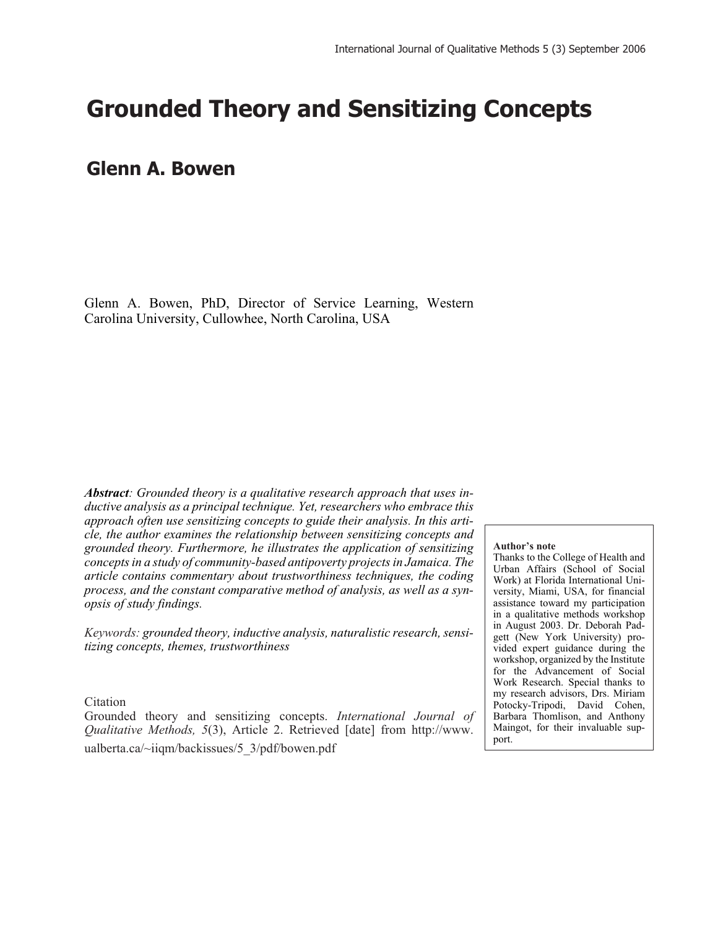# **Grounded Theory and Sensitizing Concepts**

## **Glenn A. Bowen**

Glenn A. Bowen, PhD, Director of Service Learning, Western Carolina University, Cullowhee, North Carolina, USA

*Abstract: Grounded theory is a qualitative research approach that uses inductive analysis as a principal technique. Yet, researchers who embrace this approach often use sensitizing concepts to guide their analysis. In this article, the author examines the relationship between sensitizing concepts and grounded theory. Furthermore, he illustrates the application of sensitizing concepts in a study of community-based antipoverty projects in Jamaica. The article contains commentary about trustworthiness techniques, the coding process, and the constant comparative method of analysis, as well as a synopsis of study findings.*

*Keywords: grounded theory, inductive analysis, naturalistic research, sensitizing concepts, themes, trustworthiness*

#### Citation

Grounded theory and sensitizing concepts. *International Journal of Qualitative Methods, 5*(3), Article 2. Retrieved [date] from http://www. ualberta.ca/~iiqm/backissues/5\_3/pdf/bowen.pdf

#### **Author's note**

Thanks to the College of Health and Urban Affairs (School of Social Work) at Florida International University, Miami, USA, for financial assistance toward my participation in a qualitative methods workshop in August 2003. Dr. Deborah Padgett (New York University) provided expert guidance during the workshop, organized by the Institute for the Advancement of Social Work Research. Special thanks to my research advisors, Drs. Miriam Potocky-Tripodi, David Cohen, Barbara Thomlison, and Anthony Maingot, for their invaluable support.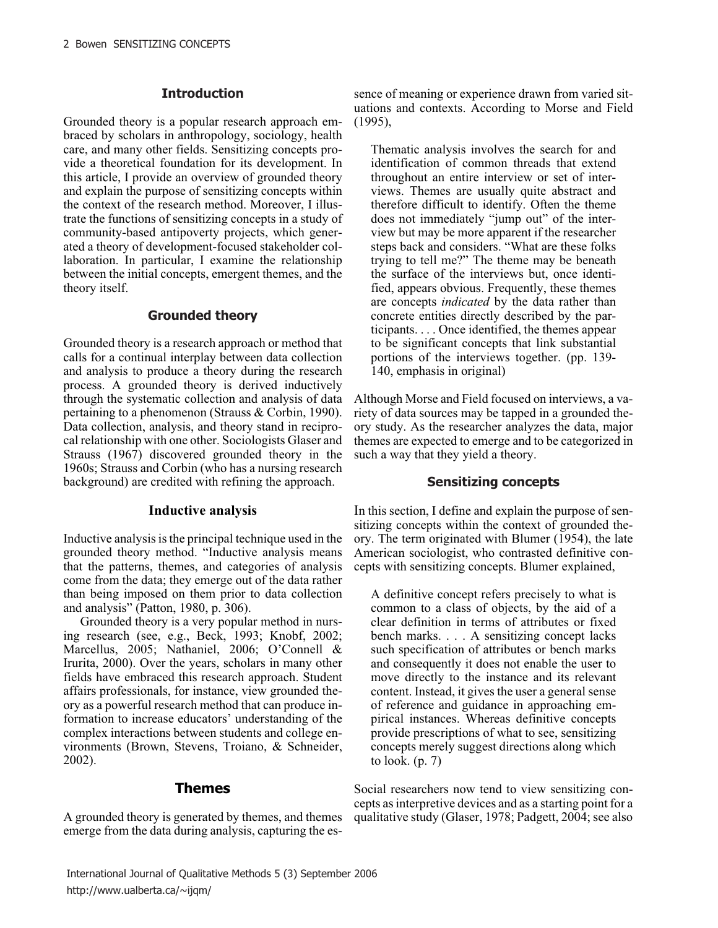#### **Introduction**

Grounded theory is a popular research approach embraced by scholars in anthropology, sociology, health care, and many other fields. Sensitizing concepts provide a theoretical foundation for its development. In this article, I provide an overview of grounded theory and explain the purpose of sensitizing concepts within the context of the research method. Moreover, I illustrate the functions of sensitizing concepts in a study of community-based antipoverty projects, which generated a theory of development-focused stakeholder collaboration. In particular, I examine the relationship between the initial concepts, emergent themes, and the theory itself.

#### **Grounded theory**

Grounded theory is a research approach or method that calls for a continual interplay between data collection and analysis to produce a theory during the research process. A grounded theory is derived inductively through the systematic collection and analysis of data pertaining to a phenomenon (Strauss & Corbin, 1990). Data collection, analysis, and theory stand in reciprocal relationship with one other. Sociologists Glaser and Strauss (1967) discovered grounded theory in the 1960s; Strauss and Corbin (who has a nursing research background) are credited with refining the approach.

#### **Inductive analysis**

Inductive analysis is the principal technique used in the grounded theory method. "Inductive analysis means that the patterns, themes, and categories of analysis come from the data; they emerge out of the data rather than being imposed on them prior to data collection and analysis" (Patton, 1980, p. 306).

Grounded theory is a very popular method in nursing research (see, e.g., Beck, 1993; Knobf, 2002; Marcellus, 2005; Nathaniel, 2006; O'Connell & Irurita, 2000). Over the years, scholars in many other fields have embraced this research approach. Student affairs professionals, for instance, view grounded theory as a powerful research method that can produce information to increase educators' understanding of the complex interactions between students and college environments (Brown, Stevens, Troiano, & Schneider, 2002).

## **Themes**

A grounded theory is generated by themes, and themes emerge from the data during analysis, capturing the es-

sence of meaning or experience drawn from varied situations and contexts. According to Morse and Field (1995),

Thematic analysis involves the search for and identification of common threads that extend throughout an entire interview or set of interviews. Themes are usually quite abstract and therefore difficult to identify. Often the theme does not immediately "jump out" of the interview but may be more apparent if the researcher steps back and considers. "What are these folks trying to tell me?" The theme may be beneath the surface of the interviews but, once identified, appears obvious. Frequently, these themes are concepts *indicated* by the data rather than concrete entities directly described by the participants.... Once identified, the themes appear to be significant concepts that link substantial portions of the interviews together. (pp. 139- 140, emphasis in original)

Although Morse and Field focused on interviews, a variety of data sources may be tapped in a grounded theory study. As the researcher analyzes the data, major themes are expected to emerge and to be categorized in such a way that they yield a theory.

## **Sensitizing concepts**

In this section, I define and explain the purpose of sensitizing concepts within the context of grounded theory. The term originated with Blumer (1954), the late American sociologist, who contrasted definitive concepts with sensitizing concepts. Blumer explained,

A definitive concept refers precisely to what is common to a class of objects, by the aid of a clear definition in terms of attributes or fixed bench marks....A sensitizing concept lacks such specification of attributes or bench marks and consequently it does not enable the user to move directly to the instance and its relevant content. Instead, it gives the user a general sense of reference and guidance in approaching empirical instances. Whereas definitive concepts provide prescriptions of what to see, sensitizing concepts merely suggest directions along which to look. (p. 7)

Social researchers now tend to view sensitizing concepts as interpretive devices and as a starting point for a qualitative study (Glaser, 1978; Padgett, 2004; see also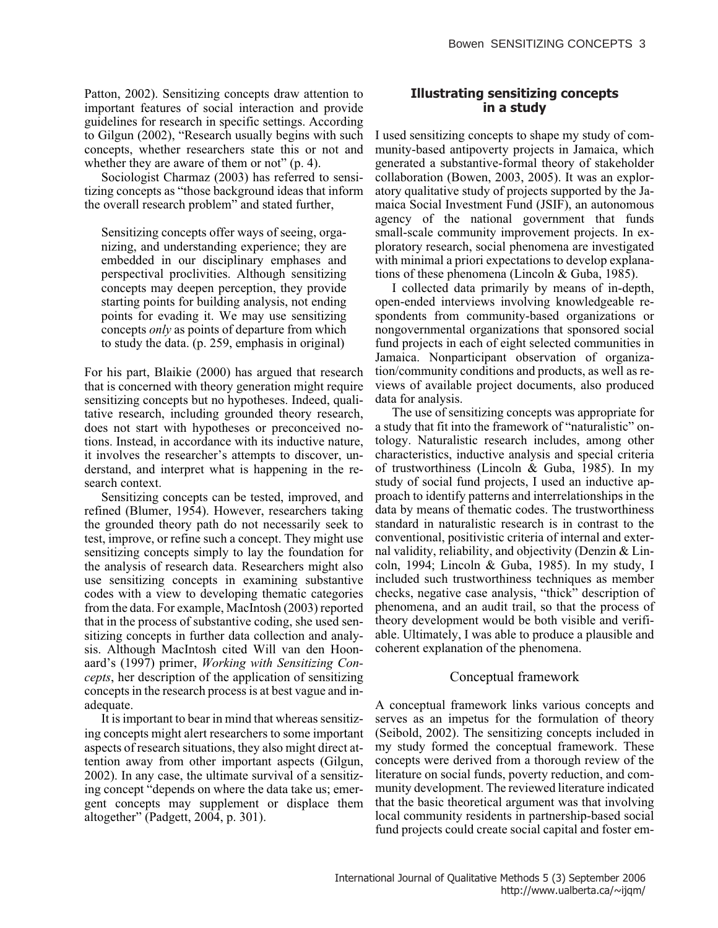Patton, 2002). Sensitizing concepts draw attention to important features of social interaction and provide guidelines for research in specific settings. According to Gilgun (2002), "Research usually begins with such concepts, whether researchers state this or not and whether they are aware of them or not" (p. 4).

Sociologist Charmaz (2003) has referred to sensitizing concepts as "those background ideas that inform the overall research problem" and stated further,

Sensitizing concepts offer ways of seeing, organizing, and understanding experience; they are embedded in our disciplinary emphases and perspectival proclivities. Although sensitizing concepts may deepen perception, they provide starting points for building analysis, not ending points for evading it. We may use sensitizing concepts *only* as points of departure from which to study the data. (p. 259, emphasis in original)

For his part, Blaikie (2000) has argued that research that is concerned with theory generation might require sensitizing concepts but no hypotheses. Indeed, qualitative research, including grounded theory research, does not start with hypotheses or preconceived notions. Instead, in accordance with its inductive nature, it involves the researcher's attempts to discover, understand, and interpret what is happening in the research context.

Sensitizing concepts can be tested, improved, and refined (Blumer, 1954). However, researchers taking the grounded theory path do not necessarily seek to test, improve, or refine such a concept. They might use sensitizing concepts simply to lay the foundation for the analysis of research data. Researchers might also use sensitizing concepts in examining substantive codes with a view to developing thematic categories from the data. For example, MacIntosh (2003) reported that in the process of substantive coding, she used sensitizing concepts in further data collection and analysis. Although MacIntosh cited Will van den Hoonaard's (1997) primer, *Working with Sensitizing Concepts*, her description of the application of sensitizing concepts in the research process is at best vague and inadequate.

It is important to bear in mind that whereas sensitizing concepts might alert researchers to some important aspects of research situations, they also might direct attention away from other important aspects (Gilgun, 2002). In any case, the ultimate survival of a sensitizing concept "depends on where the data take us; emergent concepts may supplement or displace them altogether" (Padgett, 2004, p. 301).

## **Illustrating sensitizing concepts in a study**

I used sensitizing concepts to shape my study of community-based antipoverty projects in Jamaica, which generated a substantive-formal theory of stakeholder collaboration (Bowen, 2003, 2005). It was an exploratory qualitative study of projects supported by the Jamaica Social Investment Fund (JSIF), an autonomous agency of the national government that funds small-scale community improvement projects. In exploratory research, social phenomena are investigated with minimal a priori expectations to develop explanations of these phenomena (Lincoln & Guba, 1985).

I collected data primarily by means of in-depth, open-ended interviews involving knowledgeable respondents from community-based organizations or nongovernmental organizations that sponsored social fund projects in each of eight selected communities in Jamaica. Nonparticipant observation of organization/community conditions and products, as well as reviews of available project documents, also produced data for analysis.

The use of sensitizing concepts was appropriate for a study that fit into the framework of "naturalistic" ontology. Naturalistic research includes, among other characteristics, inductive analysis and special criteria of trustworthiness (Lincoln & Guba, 1985). In my study of social fund projects, I used an inductive approach to identify patterns and interrelationships in the data by means of thematic codes. The trustworthiness standard in naturalistic research is in contrast to the conventional, positivistic criteria of internal and external validity, reliability, and objectivity (Denzin & Lincoln, 1994; Lincoln & Guba, 1985). In my study, I included such trustworthiness techniques as member checks, negative case analysis, "thick" description of phenomena, and an audit trail, so that the process of theory development would be both visible and verifiable. Ultimately, I was able to produce a plausible and coherent explanation of the phenomena.

## Conceptual framework

A conceptual framework links various concepts and serves as an impetus for the formulation of theory (Seibold, 2002). The sensitizing concepts included in my study formed the conceptual framework. These concepts were derived from a thorough review of the literature on social funds, poverty reduction, and community development. The reviewed literature indicated that the basic theoretical argument was that involving local community residents in partnership-based social fund projects could create social capital and foster em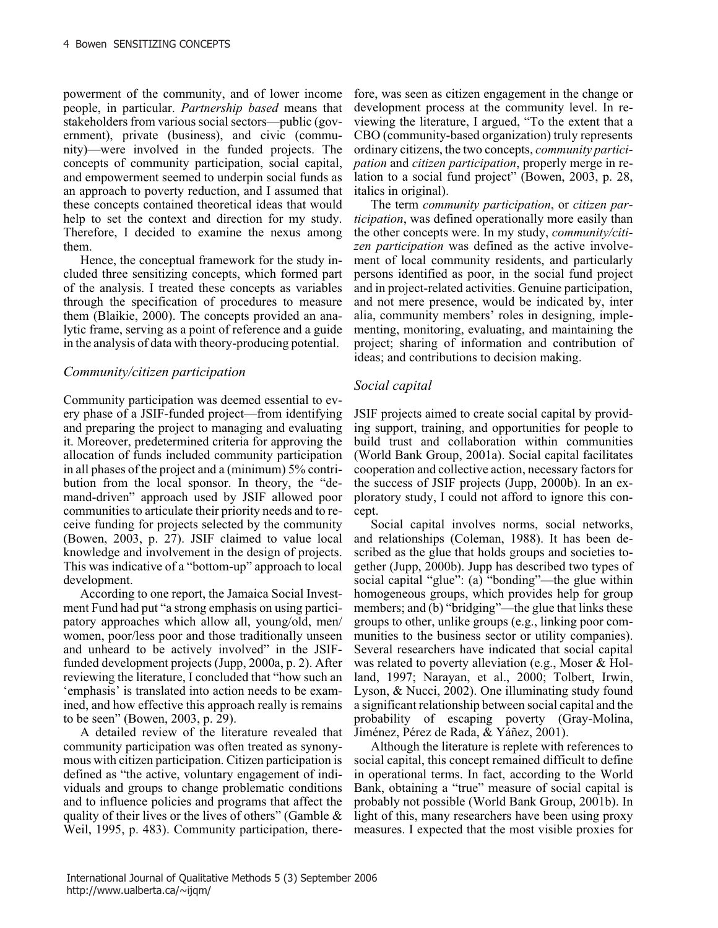powerment of the community, and of lower income people, in particular. *Partnership based* means that stakeholders from various social sectors—public (government), private (business), and civic (community)—were involved in the funded projects. The concepts of community participation, social capital, and empowerment seemed to underpin social funds as an approach to poverty reduction, and I assumed that these concepts contained theoretical ideas that would help to set the context and direction for my study. Therefore, I decided to examine the nexus among them.

Hence, the conceptual framework for the study included three sensitizing concepts, which formed part of the analysis. I treated these concepts as variables through the specification of procedures to measure them (Blaikie, 2000). The concepts provided an analytic frame, serving as a point of reference and a guide in the analysis of data with theory-producing potential.

## *Community/citizen participation*

Community participation was deemed essential to every phase of a JSIF-funded project—from identifying and preparing the project to managing and evaluating it. Moreover, predetermined criteria for approving the allocation of funds included community participation in all phases of the project and a (minimum) 5% contribution from the local sponsor. In theory, the "demand-driven" approach used by JSIF allowed poor communities to articulate their priority needs and to receive funding for projects selected by the community (Bowen, 2003, p. 27). JSIF claimed to value local knowledge and involvement in the design of projects. This was indicative of a "bottom-up" approach to local development.

According to one report, the Jamaica Social Investment Fund had put "a strong emphasis on using participatory approaches which allow all, young/old, men/ women, poor/less poor and those traditionally unseen and unheard to be actively involved" in the JSIFfunded development projects (Jupp, 2000a, p. 2). After reviewing the literature, I concluded that "how such an 'emphasis' is translated into action needs to be examined, and how effective this approach really is remains to be seen" (Bowen, 2003, p. 29).

A detailed review of the literature revealed that community participation was often treated as synonymous with citizen participation. Citizen participation is defined as "the active, voluntary engagement of individuals and groups to change problematic conditions and to influence policies and programs that affect the quality of their lives or the lives of others" (Gamble  $\&$ Weil, 1995, p. 483). Community participation, there-

fore, was seen as citizen engagement in the change or development process at the community level. In reviewing the literature, I argued, "To the extent that a CBO (community-based organization) truly represents ordinary citizens, the two concepts, *community participation* and *citizen participation*, properly merge in relation to a social fund project" (Bowen, 2003, p. 28, italics in original).

The term *community participation*, or *citizen participation*, was defined operationally more easily than the other concepts were. In my study, *community/citizen participation* was defined as the active involvement of local community residents, and particularly persons identified as poor, in the social fund project and in project-related activities. Genuine participation, and not mere presence, would be indicated by, inter alia, community members' roles in designing, implementing, monitoring, evaluating, and maintaining the project; sharing of information and contribution of ideas; and contributions to decision making.

## *Social capital*

JSIF projects aimed to create social capital by providing support, training, and opportunities for people to build trust and collaboration within communities (World Bank Group, 2001a). Social capital facilitates cooperation and collective action, necessary factors for the success of JSIF projects (Jupp, 2000b). In an exploratory study, I could not afford to ignore this concept.

Social capital involves norms, social networks, and relationships (Coleman, 1988). It has been described as the glue that holds groups and societies together (Jupp, 2000b). Jupp has described two types of social capital "glue": (a) "bonding"—the glue within homogeneous groups, which provides help for group members; and (b) "bridging"—the glue that links these groups to other, unlike groups (e.g., linking poor communities to the business sector or utility companies). Several researchers have indicated that social capital was related to poverty alleviation (e.g., Moser & Holland, 1997; Narayan, et al., 2000; Tolbert, Irwin, Lyson, & Nucci, 2002). One illuminating study found a significant relationship between social capital and the probability of escaping poverty (Gray-Molina, Jiménez, Pérez de Rada, & Yáñez, 2001).

Although the literature is replete with references to social capital, this concept remained difficult to define in operational terms. In fact, according to the World Bank, obtaining a "true" measure of social capital is probably not possible (World Bank Group, 2001b). In light of this, many researchers have been using proxy measures. I expected that the most visible proxies for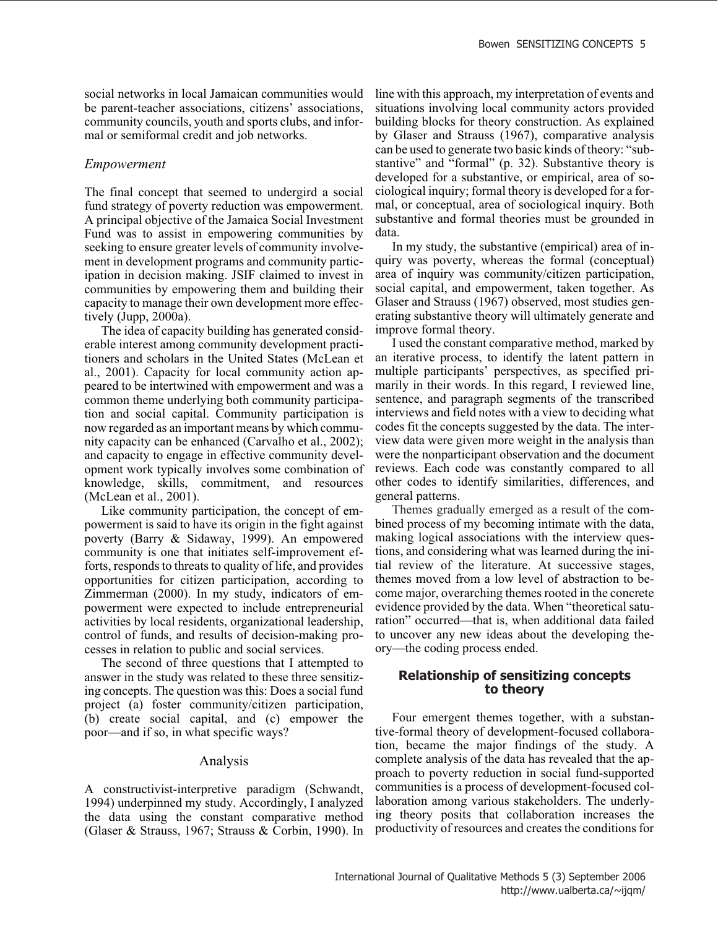social networks in local Jamaican communities would be parent-teacher associations, citizens' associations, community councils, youth and sports clubs, and informal or semiformal credit and job networks.

#### *Empowerment*

The final concept that seemed to undergird a social fund strategy of poverty reduction was empowerment. A principal objective of the Jamaica Social Investment Fund was to assist in empowering communities by seeking to ensure greater levels of community involvement in development programs and community participation in decision making. JSIF claimed to invest in communities by empowering them and building their capacity to manage their own development more effectively (Jupp, 2000a).

The idea of capacity building has generated considerable interest among community development practitioners and scholars in the United States (McLean et al., 2001). Capacity for local community action appeared to be intertwined with empowerment and was a common theme underlying both community participation and social capital. Community participation is now regarded as an important means by which community capacity can be enhanced (Carvalho et al., 2002); and capacity to engage in effective community development work typically involves some combination of knowledge, skills, commitment, and resources (McLean et al., 2001).

Like community participation, the concept of empowerment is said to have its origin in the fight against poverty (Barry & Sidaway, 1999). An empowered community is one that initiates self-improvement efforts, responds to threats to quality of life, and provides opportunities for citizen participation, according to Zimmerman (2000). In my study, indicators of empowerment were expected to include entrepreneurial activities by local residents, organizational leadership, control of funds, and results of decision-making processes in relation to public and social services.

The second of three questions that I attempted to answer in the study was related to these three sensitizing concepts. The question was this: Does a social fund project (a) foster community/citizen participation, (b) create social capital, and (c) empower the poor—and if so, in what specific ways?

#### Analysis

A constructivist-interpretive paradigm (Schwandt, 1994) underpinned my study. Accordingly, I analyzed the data using the constant comparative method (Glaser & Strauss, 1967; Strauss & Corbin, 1990). In line with this approach, my interpretation of events and situations involving local community actors provided building blocks for theory construction. As explained by Glaser and Strauss (1967), comparative analysis can be used to generate two basic kinds of theory: "substantive" and "formal" (p. 32). Substantive theory is developed for a substantive, or empirical, area of sociological inquiry; formal theory is developed for a formal, or conceptual, area of sociological inquiry. Both substantive and formal theories must be grounded in data.

In my study, the substantive (empirical) area of inquiry was poverty, whereas the formal (conceptual) area of inquiry was community/citizen participation, social capital, and empowerment, taken together. As Glaser and Strauss (1967) observed, most studies generating substantive theory will ultimately generate and improve formal theory.

I used the constant comparative method, marked by an iterative process, to identify the latent pattern in multiple participants' perspectives, as specified primarily in their words. In this regard, I reviewed line, sentence, and paragraph segments of the transcribed interviews and field notes with a view to deciding what codes fit the concepts suggested by the data. The interview data were given more weight in the analysis than were the nonparticipant observation and the document reviews. Each code was constantly compared to all other codes to identify similarities, differences, and general patterns.

Themes gradually emerged as a result of the combined process of my becoming intimate with the data, making logical associations with the interview questions, and considering what was learned during the initial review of the literature. At successive stages, themes moved from a low level of abstraction to become major, overarching themes rooted in the concrete evidence provided by the data. When "theoretical saturation" occurred—that is, when additional data failed to uncover any new ideas about the developing theory—the coding process ended.

### **Relationship of sensitizing concepts to theory**

Four emergent themes together, with a substantive-formal theory of development-focused collaboration, became the major findings of the study. A complete analysis of the data has revealed that the approach to poverty reduction in social fund-supported communities is a process of development-focused collaboration among various stakeholders. The underlying theory posits that collaboration increases the productivity of resources and creates the conditions for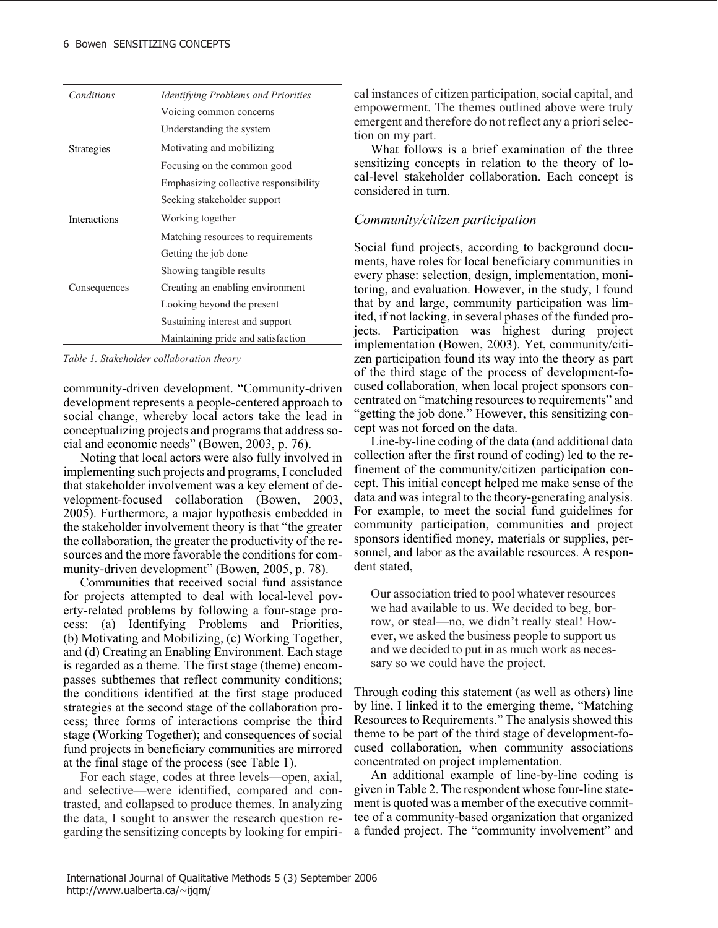| Conditions                          | <i>Identifying Problems and Priorities</i> |
|-------------------------------------|--------------------------------------------|
|                                     | Voicing common concerns                    |
|                                     | Understanding the system                   |
| Strategies                          | Motivating and mobilizing                  |
|                                     | Focusing on the common good                |
|                                     | Emphasizing collective responsibility      |
| <b>Interactions</b><br>Consequences | Seeking stakeholder support                |
|                                     | Working together                           |
|                                     | Matching resources to requirements         |
|                                     | Getting the job done                       |
|                                     | Showing tangible results                   |
|                                     | Creating an enabling environment           |
|                                     | Looking beyond the present                 |
|                                     | Sustaining interest and support            |
|                                     | Maintaining pride and satisfaction         |

*Table 1. Stakeholder collaboration theory*

community-driven development. "Community-driven development represents a people-centered approach to social change, whereby local actors take the lead in conceptualizing projects and programs that address social and economic needs" (Bowen, 2003, p. 76).

Noting that local actors were also fully involved in implementing such projects and programs, I concluded that stakeholder involvement was a key element of development-focused collaboration (Bowen, 2003, 2005). Furthermore, a major hypothesis embedded in the stakeholder involvement theory is that "the greater the collaboration, the greater the productivity of the resources and the more favorable the conditions for community-driven development" (Bowen, 2005, p. 78).

Communities that received social fund assistance for projects attempted to deal with local-level poverty-related problems by following a four-stage process: (a) Identifying Problems and Priorities, (b) Motivating and Mobilizing, (c) Working Together, and (d) Creating an Enabling Environment. Each stage is regarded as a theme. The first stage (theme) encompasses subthemes that reflect community conditions; the conditions identified at the first stage produced strategies at the second stage of the collaboration process; three forms of interactions comprise the third stage (Working Together); and consequences of social fund projects in beneficiary communities are mirrored at the final stage of the process (see Table 1).

For each stage, codes at three levels—open, axial, and selective—were identified, compared and contrasted, and collapsed to produce themes. In analyzing the data, I sought to answer the research question regarding the sensitizing concepts by looking for empirical instances of citizen participation, social capital, and empowerment. The themes outlined above were truly emergent and therefore do not reflect any a priori selection on my part.

What follows is a brief examination of the three sensitizing concepts in relation to the theory of local-level stakeholder collaboration. Each concept is considered in turn.

## *Community/citizen participation*

Social fund projects, according to background documents, have roles for local beneficiary communities in every phase: selection, design, implementation, monitoring, and evaluation. However, in the study, I found that by and large, community participation was limited, if not lacking, in several phases of the funded projects. Participation was highest during project implementation (Bowen, 2003). Yet, community/citizen participation found its way into the theory as part of the third stage of the process of development-focused collaboration, when local project sponsors concentrated on "matching resources to requirements" and "getting the job done." However, this sensitizing concept was not forced on the data.

Line-by-line coding of the data (and additional data collection after the first round of coding) led to the refinement of the community/citizen participation concept. This initial concept helped me make sense of the data and was integral to the theory-generating analysis. For example, to meet the social fund guidelines for community participation, communities and project sponsors identified money, materials or supplies, personnel, and labor as the available resources. A respondent stated,

Our association tried to pool whatever resources we had available to us. We decided to beg, borrow, or steal—no, we didn't really steal! However, we asked the business people to support us and we decided to put in as much work as necessary so we could have the project.

Through coding this statement (as well as others) line by line, I linked it to the emerging theme, "Matching Resources to Requirements." The analysis showed this theme to be part of the third stage of development-focused collaboration, when community associations concentrated on project implementation.

An additional example of line-by-line coding is given in Table 2. The respondent whose four-line statement is quoted was a member of the executive committee of a community-based organization that organized a funded project. The "community involvement" and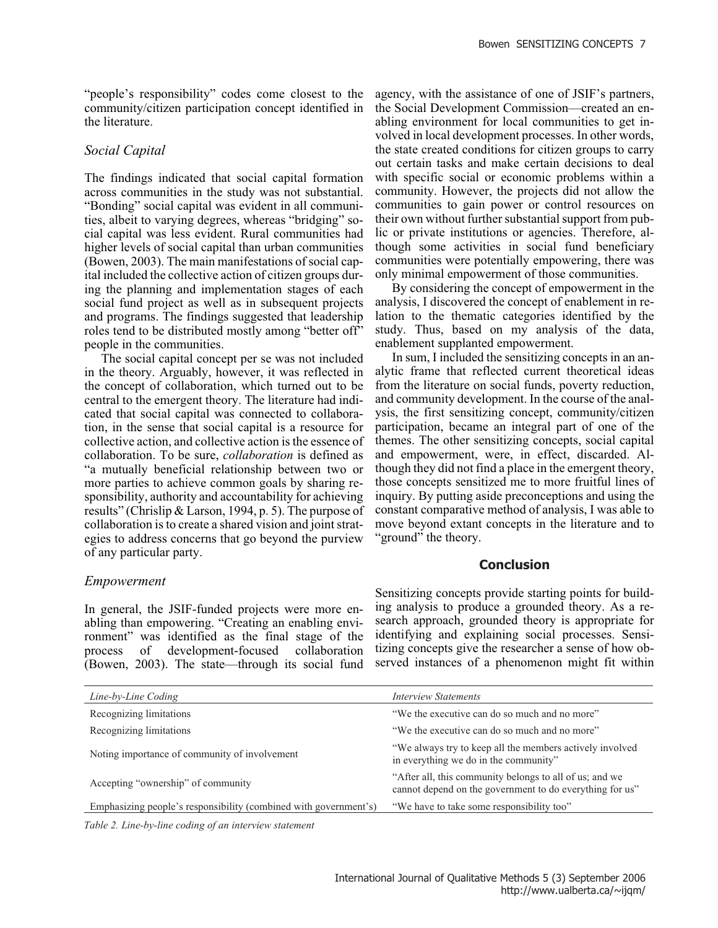"people's responsibility" codes come closest to the community/citizen participation concept identified in the literature.

#### *Social Capital*

The findings indicated that social capital formation across communities in the study was not substantial. "Bonding" social capital was evident in all communities, albeit to varying degrees, whereas "bridging" social capital was less evident. Rural communities had higher levels of social capital than urban communities (Bowen, 2003). The main manifestations of social capital included the collective action of citizen groups during the planning and implementation stages of each social fund project as well as in subsequent projects and programs. The findings suggested that leadership roles tend to be distributed mostly among "better off" people in the communities.

The social capital concept per se was not included in the theory. Arguably, however, it was reflected in the concept of collaboration, which turned out to be central to the emergent theory. The literature had indicated that social capital was connected to collaboration, in the sense that social capital is a resource for collective action, and collective action is the essence of collaboration. To be sure, *collaboration* is defined as "a mutually beneficial relationship between two or more parties to achieve common goals by sharing responsibility, authority and accountability for achieving results" (Chrislip & Larson, 1994, p. 5). The purpose of collaboration is to create a shared vision and joint strategies to address concerns that go beyond the purview of any particular party.

agency, with the assistance of one of JSIF's partners, the Social Development Commission—created an enabling environment for local communities to get involved in local development processes. In other words, the state created conditions for citizen groups to carry out certain tasks and make certain decisions to deal with specific social or economic problems within a community. However, the projects did not allow the communities to gain power or control resources on their own without further substantial support from public or private institutions or agencies. Therefore, although some activities in social fund beneficiary communities were potentially empowering, there was only minimal empowerment of those communities.

By considering the concept of empowerment in the analysis, I discovered the concept of enablement in relation to the thematic categories identified by the study. Thus, based on my analysis of the data, enablement supplanted empowerment.

In sum, I included the sensitizing concepts in an analytic frame that reflected current theoretical ideas from the literature on social funds, poverty reduction, and community development. In the course of the analysis, the first sensitizing concept, community/citizen participation, became an integral part of one of the themes. The other sensitizing concepts, social capital and empowerment, were, in effect, discarded. Although they did not find a place in the emergent theory, those concepts sensitized me to more fruitful lines of inquiry. By putting aside preconceptions and using the constant comparative method of analysis, I was able to move beyond extant concepts in the literature and to "ground" the theory.

#### **Conclusion**

Sensitizing concepts provide starting points for building analysis to produce a grounded theory. As a research approach, grounded theory is appropriate for identifying and explaining social processes. Sensitizing concepts give the researcher a sense of how observed instances of a phenomenon might fit within

| Line-by-Line Coding                                              | <i>Interview Statements</i>                                                                                         |
|------------------------------------------------------------------|---------------------------------------------------------------------------------------------------------------------|
| Recognizing limitations                                          | "We the executive can do so much and no more"                                                                       |
| Recognizing limitations                                          | "We the executive can do so much and no more"                                                                       |
| Noting importance of community of involvement                    | "We always try to keep all the members actively involved<br>in everything we do in the community"                   |
| Accepting "ownership" of community                               | "After all, this community belongs to all of us; and we<br>cannot depend on the government to do everything for us" |
| Emphasizing people's responsibility (combined with government's) | "We have to take some responsibility too"                                                                           |

*Table 2. Line-by-line coding of an interview statement*

#### *Empowerment*

In general, the JSIF-funded projects were more enabling than empowering. "Creating an enabling environment" was identified as the final stage of the process of development-focused collaboration (Bowen, 2003). The state—through its social fund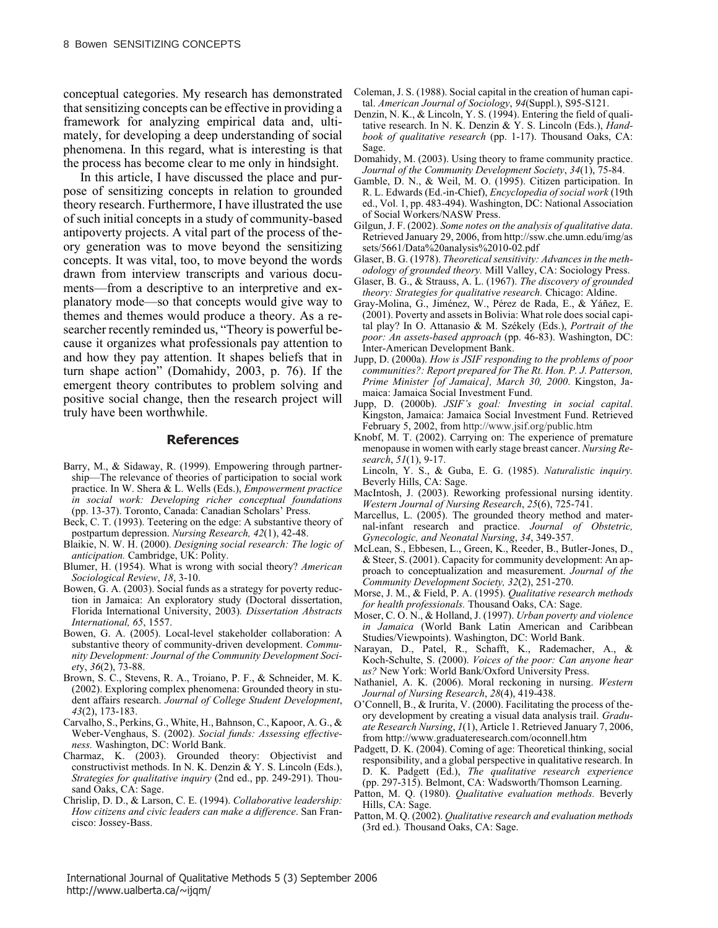conceptual categories. My research has demonstrated that sensitizing concepts can be effective in providing a framework for analyzing empirical data and, ultimately, for developing a deep understanding of social phenomena. In this regard, what is interesting is that the process has become clear to me only in hindsight.

In this article, I have discussed the place and purpose of sensitizing concepts in relation to grounded theory research. Furthermore, I have illustrated the use of such initial concepts in a study of community-based antipoverty projects. A vital part of the process of theory generation was to move beyond the sensitizing concepts. It was vital, too, to move beyond the words drawn from interview transcripts and various documents—from a descriptive to an interpretive and explanatory mode—so that concepts would give way to themes and themes would produce a theory. As a researcher recently reminded us, "Theory is powerful because it organizes what professionals pay attention to and how they pay attention. It shapes beliefs that in turn shape action" (Domahidy, 2003, p. 76). If the emergent theory contributes to problem solving and positive social change, then the research project will truly have been worthwhile.

#### **References**

- Barry, M., & Sidaway, R. (1999). Empowering through partnership—The relevance of theories of participation to social work practice. In W. Shera & L. Wells (Eds.), *Empowerment practice in social work: Developing richer conceptual foundations* (pp. 13-37). Toronto, Canada: Canadian Scholars' Press.
- Beck, C. T. (1993). Teetering on the edge: A substantive theory of postpartum depression. *Nursing Research, 42*(1), 42-48.
- Blaikie, N. W. H. (2000). *Designing social research: The logic of anticipation.* Cambridge, UK: Polity.
- Blumer, H. (1954). What is wrong with social theory? *American Sociological Review*, *18*, 3-10.
- Bowen, G. A. (2003). Social funds as a strategy for poverty reduction in Jamaica: An exploratory study (Doctoral dissertation, Florida International University, 2003)*. Dissertation Abstracts International, 65*, 1557.
- Bowen, G. A. (2005). Local-level stakeholder collaboration: A substantive theory of community-driven development. *Community Development: Journal of the Community Development Societ*y, *36*(2), 73-88.
- Brown, S. C., Stevens, R. A., Troiano, P. F., & Schneider, M. K. (2002). Exploring complex phenomena: Grounded theory in student affairs research. *Journal of College Student Development*, *43*(2), 173-183.
- Carvalho, S., Perkins, G., White, H., Bahnson, C., Kapoor, A. G., & Weber-Venghaus, S. (2002). *Social funds: Assessing effectiveness.* Washington, DC: World Bank.
- Charmaz, K. (2003). Grounded theory: Objectivist and constructivist methods. In N. K. Denzin & Y. S. Lincoln (Eds.), *Strategies for qualitative inquiry* (2nd ed., pp. 249-291). Thousand Oaks, CA: Sage.
- Chrislip, D. D., & Larson, C. E. (1994). *Collaborative leadership: How citizens and civic leaders can make a difference*. San Francisco: Jossey-Bass.
- Coleman, J. S. (1988). Social capital in the creation of human capital. *American Journal of Sociology*, *94*(Suppl.), S95-S121.
- Denzin, N. K., & Lincoln, Y. S. (1994). Entering the field of qualitative research. In N. K. Denzin & Y. S. Lincoln (Eds.), *Handbook of qualitative research* (pp. 1-17). Thousand Oaks, CA: Sage.
- Domahidy, M. (2003). Using theory to frame community practice. *Journal of the Community Development Society*, *34*(1), 75-84.
- Gamble, D. N., & Weil, M. O. (1995). Citizen participation. In R. L. Edwards (Ed.-in-Chief), *Encyclopedia of social work* (19th ed., Vol. 1, pp. 483-494). Washington, DC: National Association of Social Workers/NASW Press.
- Gilgun, J. F. (2002). *Some notes on the analysis of qualitative data*. Retrieved January 29, 2006, from http://ssw.che.umn.edu/img/as sets/5661/Data%20analysis%2010-02.pdf
- Glaser, B. G. (1978). *Theoretical sensitivity: Advances in the methodology of grounded theory.* Mill Valley, CA: Sociology Press.
- Glaser, B. G., & Strauss, A. L. (1967). *The discovery of grounded theory: Strategies for qualitative research.* Chicago: Aldine.
- Gray-Molina, G., Jiménez, W., Pérez de Rada, E., & Yáñez, E. (2001). Poverty and assets in Bolivia: What role does social capital play? In O. Attanasio & M. Székely (Eds.), *Portrait of the poor: An assets-based approach* (pp. 46-83). Washington, DC: Inter-American Development Bank.
- Jupp, D. (2000a). *How is JSIF responding to the problems of poor communities?: Report prepared for The Rt. Hon. P. J. Patterson, Prime Minister [of Jamaica], March 30, 2000*. Kingston, Jamaica: Jamaica Social Investment Fund.
- Jupp, D. (2000b). *JSIF's goal: Investing in social capital*. Kingston, Jamaica: Jamaica Social Investment Fund. Retrieved February 5, 2002, from http://www.jsif.org/public.htm
- Knobf, M. T. (2002). Carrying on: The experience of premature menopause in women with early stage breast cancer. *Nursing Research*, *51*(1), 9-17.

Lincoln, Y. S., & Guba, E. G. (1985). *Naturalistic inquiry.* Beverly Hills, CA: Sage.

- MacIntosh, J. (2003). Reworking professional nursing identity. *Western Journal of Nursing Research*, *25*(6), 725-741.
- Marcellus, L. (2005). The grounded theory method and maternal-infant research and practice. *Journal of Obstetric, Gynecologic, and Neonatal Nursing*, *34*, 349-357.
- McLean, S., Ebbesen, L., Green, K., Reeder, B., Butler-Jones, D., & Steer, S. (2001). Capacity for community development: An approach to conceptualization and measurement. *Journal of the Community Development Society, 32*(2), 251-270.
- Morse, J. M., & Field, P. A. (1995). *Qualitative research methods for health professionals.* Thousand Oaks, CA: Sage.
- Moser, C. O. N., & Holland, J. (1997). *Urban poverty and violence in Jamaica* (World Bank Latin American and Caribbean Studies/Viewpoints). Washington, DC: World Bank.
- Narayan, D., Patel, R., Schafft, K., Rademacher, A., & Koch-Schulte, S. (2000). *Voices of the poor: Can anyone hear us?* New York: World Bank/Oxford University Press.
- Nathaniel, A. K. (2006). Moral reckoning in nursing. *Western Journal of Nursing Research*, *28*(4), 419-438.
- O'Connell, B., & Irurita, V. (2000). Facilitating the process of theory development by creating a visual data analysis trail. *Graduate Research Nursing*, *1*(1), Article 1. Retrieved January 7, 2006, from http://www.graduateresearch.com/oconnell.htm
- Padgett, D. K. (2004). Coming of age: Theoretical thinking, social responsibility, and a global perspective in qualitative research. In D. K. Padgett (Ed.), *The qualitative research experience* (pp. 297-315). Belmont, CA: Wadsworth/Thomson Learning.
- Patton, M. Q. (1980). *Qualitative evaluation methods.* Beverly Hills, CA: Sage.
- Patton, M. Q. (2002). *Qualitative research and evaluation methods* (3rd ed.)*.* Thousand Oaks, CA: Sage.